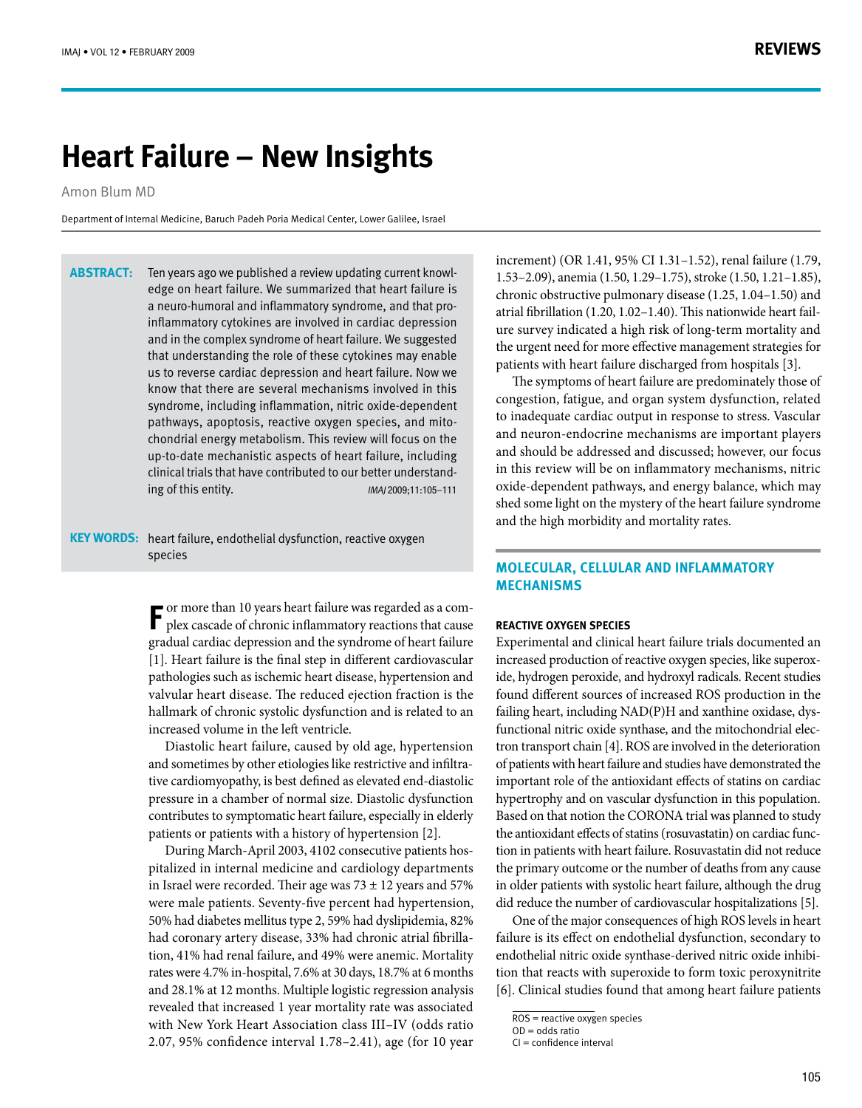# **Heart Failure – New Insights**

Arnon Blum MD

Department of Internal Medicine, Baruch Padeh Poria Medical Center, Lower Galilee, Israel

edge on heart failure. We summarized that heart failure is Ten years ago we published a review updating current knowlinflammatory cytokines are involved in cardiac depression a neuro-humoral and inflammatory syndrome, and that proand in the complex syndrome of heart failure. We suggested that understanding the role of these cytokines may enable us to reverse cardiac depression and heart failure. Now we know that there are several mechanisms involved in this syndrome, including inflammation, nitric oxide-dependent chondrial energy metabolism. This review will focus on the pathways, apoptosis, reactive oxygen species, and mitoup-to-date mechanistic aspects of heart failure, including <sup>111</sup>–11:105;<sup>2009</sup> IMAJ .entity this of ing-understand better our to contributed have that trials clinical **:Abstract**

KEY WORDS: heart failure, endothelial dysfunction, reactive oxygen species

> $\blacksquare$  <br> or more than 10 years heart failure was regarded as a complex cascade of chronic inflammatory reactions that cause or more than 10 years heart failure was regarded as a comgradual cardiac depression and the syndrome of heart failure  $[1]$ . Heart failure is the final step in different cardiovascular pathologies such as ischemic heart disease, hypertension and valvular heart disease. The reduced ejection fraction is the hallmark of chronic systolic dysfunction and is related to an increased volume in the left ventricle.

> Diastolic heart failure, caused by old age, hypertension tive cardiomyopathy, is best defined as elevated end-diastolic and sometimes by other etiologies like restrictive and infiltrapressure in a chamber of normal size. Diastolic dysfunction contributes to symptomatic heart failure, especially in elderly patients or patients with a history of hypertension [2].

> pitalized in internal medicine and cardiology departments During March-April 2003, 4102 consecutive patients hosin Israel were recorded. Their age was  $73 \pm 12$  years and 57% were male patients. Seventy-five percent had hypertension, 50% had diabetes mellitus type 2, 59% had dyslipidemia, 82% tion, 41% had renal failure, and 49% were anemic. Mortality had coronary artery disease, 33% had chronic atrial fibrillarates were 4.7% in-hospital, 7.6% at 30 days, 18.7% at 6 months and 28.1% at 12 months. Multiple logistic regression analysis revealed that increased 1 year mortality rate was associated with New York Heart Association class III-IV (odds ratio 2.07, 95% confidence interval  $1.78 - 2.41$ ), age (for 10 year

increment) (OR 1.41, 95% CI 1.31-1.52), renal failure (1.79, 1.53–2.09), anemia (1.50, 1.29–1.75), stroke (1.50, 1.21–1.85), chronic obstructive pulmonary disease  $(1.25, 1.04 - 1.50)$  and ure survey indicated a high risk of long-term mortality and atrial fibrillation  $(1.20, 1.02 - 1.40)$ . This nationwide heart failthe urgent need for more effective management strategies for patients with heart failure discharged from hospitals [3].

The symptoms of heart failure are predominately those of congestion, fatigue, and organ system dysfunction, related to inadequate cardiac output in response to stress. Vascular and neuron-endocrine mechanisms are important players and should be addressed and discussed; however, our focus in this review will be on inflammatory mechanisms, nitric oxide-dependent pathways, and energy balance, which may shed some light on the mystery of the heart failure syndrome and the high morbidity and mortality rates.

# **MOLECULAR, CELLULAR AND INFLAMMATORY mechanisms**

### **REACTIVE OXYGEN SPECIES**

Experimental and clinical heart failure trials documented an ide, hydrogen peroxide, and hydroxyl radicals. Recent studies increased production of reactive oxygen species, like superoxfound different sources of increased ROS production in the tron transport chain [4]. ROS are involved in the deterioration functional nitric oxide synthase, and the mitochondrial elecfailing heart, including NAD(P)H and xanthine oxidase, dysof patients with heart failure and studies have demonstrated the important role of the antioxidant effects of statins on cardiac hypertrophy and on vascular dysfunction in this population. Based on that notion the CORONA trial was planned to study tion in patients with heart failure. Rosuvastatin did not reduce the antioxidant effects of statins (rosuvastatin) on cardiac functhe primary outcome or the number of deaths from any cause in older patients with systolic heart failure, although the drug did reduce the number of cardiovascular hospitalizations [5].

One of the major consequences of high ROS levels in heart failure is its effect on endothelial dysfunction, secondary to tion that reacts with superoxide to form toxic peroxynitrite endothelial nitric oxide synthase-derived nitric oxide inhibi-[6]. Clinical studies found that among heart failure patients

ROS = reactive oxygen species

 $OD =$  odds ratio

 $Cl =$  confidence interval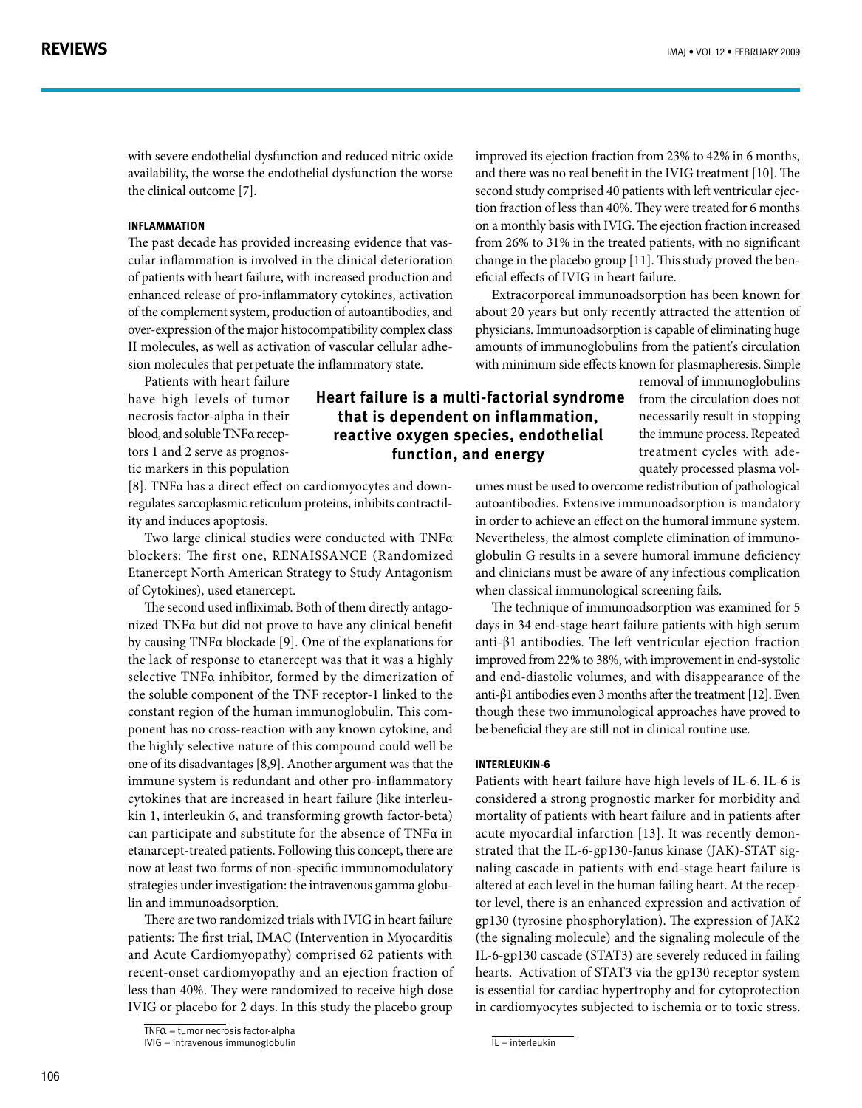with severe endothelial dysfunction and reduced nitric oxide availability, the worse the endothelial dysfunction the worse the clinical outcome [7].

### **Inflammation**

cular inflammation is involved in the clinical deterioration The past decade has provided increasing evidence that vasof patients with heart failure, with increased production and enhanced release of pro-inflammatory cytokines, activation of the complement system, production of autoantibodies, and over-expression of the major histocompatibility complex class sion molecules that perpetuate the inflammatory state. II molecules, as well as activation of vascular cellular adhe-

Patients with heart failure have high levels of tumor necrosis factor-alpha in their tic markers in this population tors 1 and 2 serve as prognosblood, and soluble TNFa recep-

regulates sarcoplasmic reticulum proteins, inhibits contractil-<br>ity and induces apoptosis. [8]. TNFα has a direct effect on cardiomyocytes and down-<br>regulates sarcoplasmic reticulum proteins, inhibits contractil-[8]. TNFα has a direct effect on cardiomyocytes and down-

Two large clinical studies were conducted with TNFa blockers: The first one, RENAISSANCE (Randomized Etanercept North American Strategy to Study Antagonism of Cytokines), used etanercept.

nized TNFα but did not prove to have any clinical benefit The second used infliximab. Both of them directly antagoby causing TNFα blockade [9]. One of the explanations for the lack of response to etanercept was that it was a highly selective TNFa inhibitor, formed by the dimerization of the soluble component of the TNF receptor-1 linked to the ponent has no cross-reaction with any known cytokine, and constant region of the human immunoglobulin. This comthe highly selective nature of this compound could well be one of its disadvantages [8,9]. Another argument was that the immune system is redundant and other pro-inflammatory kin 1, interleukin 6, and transforming growth factor-beta) cytokines that are increased in heart failure (like interleucan participate and substitute for the absence of TNFa in etanarcept-treated patients. Following this concept, there are now at least two forms of non-specific immunomodulatory strategies under investigation: the intravenous gamma globu-<br>lin and immunoadsorption.

There are two randomized trials with IVIG in heart failure patients: The first trial, IMAC (Intervention in Myocarditis and Acute Cardiomyopathy) comprised 62 patients with recent-onset cardiomyopathy and an ejection fraction of less than 40%. They were randomized to receive high dose IVIG or placebo for 2 days. In this study the placebo group

improved its ejection fraction from 23% to 42% in 6 months, and there was no real benefit in the IVIG treatment [10]. The tion fraction of less than 40%. They were treated for 6 months second study comprised 40 patients with left ventricular ejecon a monthly basis with IVIG. The ejection fraction increased from  $26\%$  to 31% in the treated patients, with no significant change in the placebo group [11]. This study proved the ben-<br>eficial effects of IVIG in heart failure.

Extracorporeal immunoadsorption has been known for about 20 years but only recently attracted the attention of physicians. Immunoadsorption is capable of eliminating huge amounts of immunoglobulins from the patient's circulation with minimum side effects known for plasmapheresis. Simple

# **Heart failure is a multi-factorial syndrome** that is dependent on inflammation, reactive oxygen species, endothelial function, and energy

removal of immunoglobulins from the circulation does not necessarily result in stopping the immune process. Repeated quately processed plasma voltreatment cycles with ade-

umes must be used to overcome redistribution of pathological autoantibodies. Extensive immunoadsorption is mandatory in order to achieve an effect on the humoral immune system. globulin G results in a severe humoral immune deficiency Nevertheless, the almost complete elimination of immunoand clinicians must be aware of any infectious complication when classical immunological screening fails.

The technique of immunoadsorption was examined for 5 days in 34 end-stage heart failure patients with high serum anti- $\beta$ 1 antibodies. The left ventricular ejection fraction improved from 22% to 38%, with improvement in end-systolic and end-diastolic volumes, and with disappearance of the anti- $\beta$ 1 antibodies even 3 months after the treatment [12]. Even though these two immunological approaches have proved to be beneficial they are still not in clinical routine use.

#### **-6Interleukin**

Patients with heart failure have high levels of IL-6. IL-6 is considered a strong prognostic marker for morbidity and mortality of patients with heart failure and in patients after naling cascade in patients with end-stage heart failure is strated that the IL-6-gp130-Janus kinase (JAK)-STAT sigacute myocardial infarction [13]. It was recently demontor level, there is an enhanced expression and activation of altered at each level in the human failing heart. At the recepgp130 (tyrosine phosphorylation). The expression of JAK2 (the signaling molecule) and the signaling molecule of the IL-6-gp130 cascade (STAT3) are severely reduced in failing hearts. Activation of STAT3 via the gp130 receptor system is essential for cardiac hypertrophy and for cytoprotection in cardiomyocytes subjected to ischemia or to toxic stress.

 $\overline{\text{TNF}}\alpha$  = tumor necrosis factor-alpha

 $IVIG = \frac{I}{I}$ intravenous  $\frac{I}{I}$ immunoglobulin

 $\overline{IL}$  = interleukin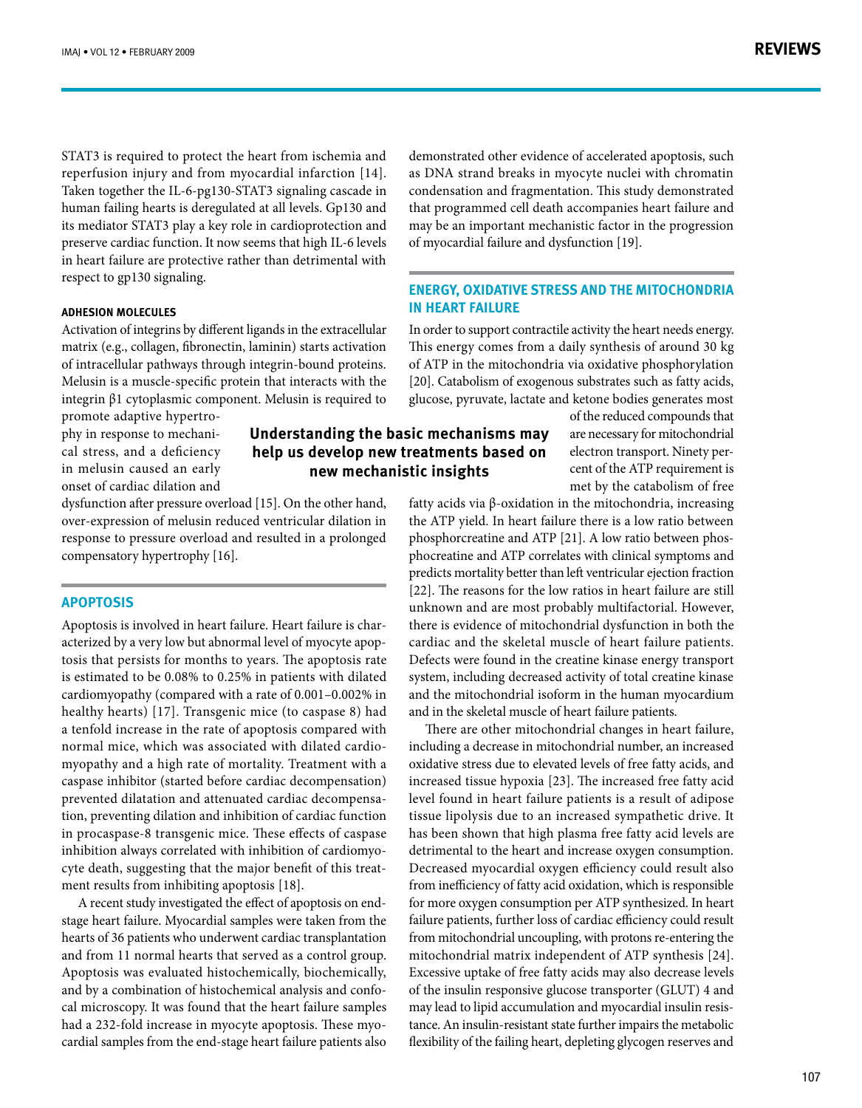**REVIEWS**

STAT3 is required to protect the heart from ischemia and reperfusion injury and from myocardial infarction [14]. Taken together the IL-6-pg130-STAT3 signaling cascade in human failing hearts is deregulated at all levels. Gp130 and its mediator STAT3 play a key role in cardioprotection and preserve cardiac function. It now seems that high IL-6 levels in heart failure are protective rather than detrimental with respect to gp130 signaling.

# **ADHESION MOLECULES**

Activation of integrins by different ligands in the extracellular matrix (e.g., collagen, fibronectin, laminin) starts activation of intracellular pathways through integrin-bound proteins. Melusin is a muscle-specific protein that interacts with the integrin  $\beta$ 1 cytoplasmic component. Melusin is required to

cal stress, and a deficiency phy in response to mechanipromote adaptive hypertroin melusin caused an early onset of cardiac dilation and

dysfunction after pressure overload [15]. On the other hand, over-expression of melusin reduced ventricular dilation in response to pressure overload and resulted in a prolonged compensatory hypertrophy [16].

### **Apoptosis**

tosis that persists for months to years. The apoptosis rate acterized by a very low but abnormal level of myocyte apop-Apoptosis is involved in heart failure. Heart failure is charis estimated to be 0.08% to 0.25% in patients with dilated cardiomyopathy (compared with a rate of  $0.001-0.002\%$  in healthy hearts) [17]. Transgenic mice (to caspase 8) had a tenfold increase in the rate of apoptosis compared with myopathy and a high rate of mortality. Treatment with a normal mice, which was associated with dilated cardiocaspase inhibitor (started before cardiac decompensation) tion, preventing dilation and inhibition of cardiac function prevented dilatation and attenuated cardiac decompensain procaspase-8 transgenic mice. These effects of caspase cyte death, suggesting that the major benefit of this treat-<br>ment results from inhibiting apoptosis [18]. inhibition always correlated with inhibition of cardiomyo-<br>cyte death, suggesting that the major benefit of this treatinhibition always correlated with inhibition of cardiomyo-

stage heart failure. Myocardial samples were taken from the A recent study investigated the effect of apoptosis on endhearts of 36 patients who underwent cardiac transplantation and from 11 normal hearts that served as a control group. Apoptosis was evaluated histochemically, biochemically, cal microscopy. It was found that the heart failure samples and by a combination of histochemical analysis and confocardial samples from the end-stage heart failure patients also had a 232-fold increase in myocyte apoptosis. These myodemonstrated other evidence of accelerated apoptosis, such as DNA strand breaks in myocyte nuclei with chromatin condensation and fragmentation. This study demonstrated that programmed cell death accompanies heart failure and may be an important mechanistic factor in the progression of myocardial failure and dysfunction [19].

# **ENERGY, OXIDATIVE STRESS AND THE MITOCHONDRIA** *IN HEART FAILURE*

In order to support contractile activity the heart needs energy. This energy comes from a daily synthesis of around 30 kg of ATP in the mitochondria via oxidative phosphorylation [20]. Catabolism of exogenous substrates such as fatty acids, glucose, pyruvate, lactate and ketone bodies generates most

# **Understanding the basic mechanisms may** help us develop new treatments based on **new mechanistic insights**

of the reduced compounds that are necessary for mitochondrial cent of the ATP requirement is electron transport. Ninety permet by the catabolism of free

fatty acids via  $β$ -oxidation in the mitochondria, increasing the ATP yield. In heart failure there is a low ratio between phocreatine and ATP correlates with clinical symptoms and phosphorcreatine and ATP [21]. A low ratio between phospredicts mortality better than left ventricular ejection fraction [22]. The reasons for the low ratios in heart failure are still unknown and are most probably multifactorial. However, there is evidence of mitochondrial dysfunction in both the cardiac and the skeletal muscle of heart failure patients. Defects were found in the creatine kinase energy transport system, including decreased activity of total creatine kinase and the mitochondrial isoform in the human myocardium and in the skeletal muscle of heart failure patients.

There are other mitochondrial changes in heart failure, including a decrease in mitochondrial number, an increased oxidative stress due to elevated levels of free fatty acids, and increased tissue hypoxia [23]. The increased free fatty acid level found in heart failure patients is a result of adipose tissue lipolysis due to an increased sympathetic drive. It has been shown that high plasma free fatty acid levels are detrimental to the heart and increase oxygen consumption. Decreased myocardial oxygen efficiency could result also from inefficiency of fatty acid oxidation, which is responsible for more oxygen consumption per ATP synthesized. In heart failure patients, further loss of cardiac efficiency could result from mitochondrial uncoupling, with protons re-entering the mitochondrial matrix independent of ATP synthesis [24]. Excessive uptake of free fatty acids may also decrease levels of the insulin responsive glucose transporter (GLUT) 4 and tance. An insulin-resistant state further impairs the metabolic may lead to lipid accumulation and myocardial insulin resisflexibility of the failing heart, depleting glycogen reserves and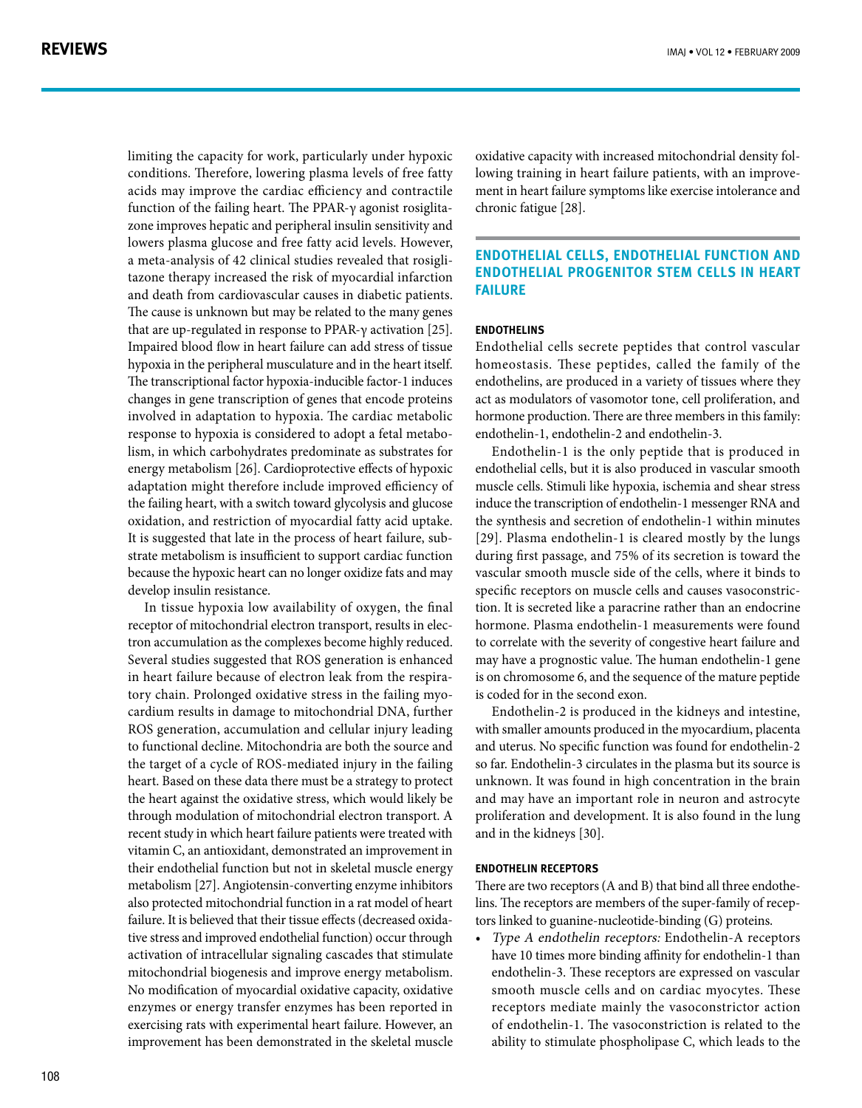limiting the capacity for work, particularly under hypoxic conditions. Therefore, lowering plasma levels of free fatty acids may improve the cardiac efficiency and contractile zone improves hepatic and peripheral insulin sensitivity and function of the failing heart. The PPAR- $γ$  agonist rosiglitalowers plasma glucose and free fatty acid levels. However, tazone therapy increased the risk of myocardial infarction a meta-analysis of 42 clinical studies revealed that rosigliand death from cardiovascular causes in diabetic patients. The cause is unknown but may be related to the many genes that are up-regulated in response to PPAR-γ activation [25]. Impaired blood flow in heart failure can add stress of tissue hypoxia in the peripheral musculature and in the heart itself. The transcriptional factor hypoxia-inducible factor-1 induces changes in gene transcription of genes that encode proteins involved in adaptation to hypoxia. The cardiac metabolic lism, in which carbohydrates predominate as substrates for response to hypoxia is considered to adopt a fetal metaboenergy metabolism [26]. Cardioprotective effects of hypoxic adaptation might therefore include improved efficiency of the failing heart, with a switch toward glycolysis and glucose oxidation, and restriction of myocardial fatty acid uptake. strate metabolism is insufficient to support cardiac function It is suggested that late in the process of heart failure, subbecause the hypoxic heart can no longer oxidize fats and may develop insulin resistance.

In tissue hypoxia low availability of oxygen, the final tron accumulation as the complexes become highly reduced. receptor of mitochondrial electron transport, results in elec-Several studies suggested that ROS generation is enhanced cardium results in damage to mitochondrial DNA, further tory chain. Prolonged oxidative stress in the failing myoin heart failure because of electron leak from the respira-ROS generation, accumulation and cellular injury leading to functional decline. Mitochondria are both the source and the target of a cycle of ROS-mediated injury in the failing heart. Based on these data there must be a strategy to protect the heart against the oxidative stress, which would likely be through modulation of mitochondrial electron transport. A recent study in which heart failure patients were treated with vitamin C, an antioxidant, demonstrated an improvement in their endothelial function but not in skeletal muscle energy metabolism [27]. Angiotensin-converting enzyme inhibitors also protected mitochondrial function in a rat model of heart tive stress and improved endothelial function) occur through failure. It is believed that their tissue effects (decreased oxidaactivation of intracellular signaling cascades that stimulate mitochondrial biogenesis and improve energy metabolism. No modification of myocardial oxidative capacity, oxidative enzymes or energy transfer enzymes has been reported in exercising rats with experimental heart failure. However, an improvement has been demonstrated in the skeletal muscle ment in heart failure symptoms like exercise intolerance and lowing training in heart failure patients, with an improveoxidative capacity with increased mitochondrial density folchronic fatigue [28].

# **ENDOTHELIAL CELLS, ENDOTHELIAL FUNCTION AND ENDOTHELIAL PROGENITOR STEM CELLS IN HEART failure**

## **Endothelins**

Endothelial cells secrete peptides that control vascular homeostasis. These peptides, called the family of the endothelins, are produced in a variety of tissues where they act as modulators of vasomotor tone, cell proliferation, and hormone production. There are three members in this family: endothelin-1, endothelin-2 and endothelin-3.

Endothelin-1 is the only peptide that is produced in endothelial cells, but it is also produced in vascular smooth muscle cells. Stimuli like hypoxia, ischemia and shear stress induce the transcription of endothelin-1 messenger RNA and the synthesis and secretion of endothelin-1 within minutes [29]. Plasma endothelin-1 is cleared mostly by the lungs during first passage, and 75% of its secretion is toward the vascular smooth muscle side of the cells, where it binds to tion. It is secreted like a paracrine rather than an endocrine specific receptors on muscle cells and causes vasoconstrichormone. Plasma endothelin-1 measurements were found to correlate with the severity of congestive heart failure and may have a prognostic value. The human endothelin-1 gene is on chromosome 6, and the sequence of the mature peptide is coded for in the second exon.

Endothelin-2 is produced in the kidneys and intestine, with smaller amounts produced in the myocardium, placenta and uterus. No specific function was found for endothelin-2 so far. Endothelin-3 circulates in the plasma but its source is unknown. It was found in high concentration in the brain and may have an important role in neuron and astrocyte proliferation and development. It is also found in the lung and in the kidneys [30].

#### **ENDOTHELIN RECEPTORS**

tors linked to guanine-nucleotide-binding  $(G)$  proteins. lins. The receptors are members of the super-family of recep-There are two receptors (A and B) that bind all three endothe-

• Type A endothelin receptors: Endothelin-A receptors have 10 times more binding affinity for endothelin-1 than endothelin-3. These receptors are expressed on vascular smooth muscle cells and on cardiac myocytes. These receptors mediate mainly the vasoconstrictor action of endothelin-1. The vasoconstriction is related to the ability to stimulate phospholipase C, which leads to the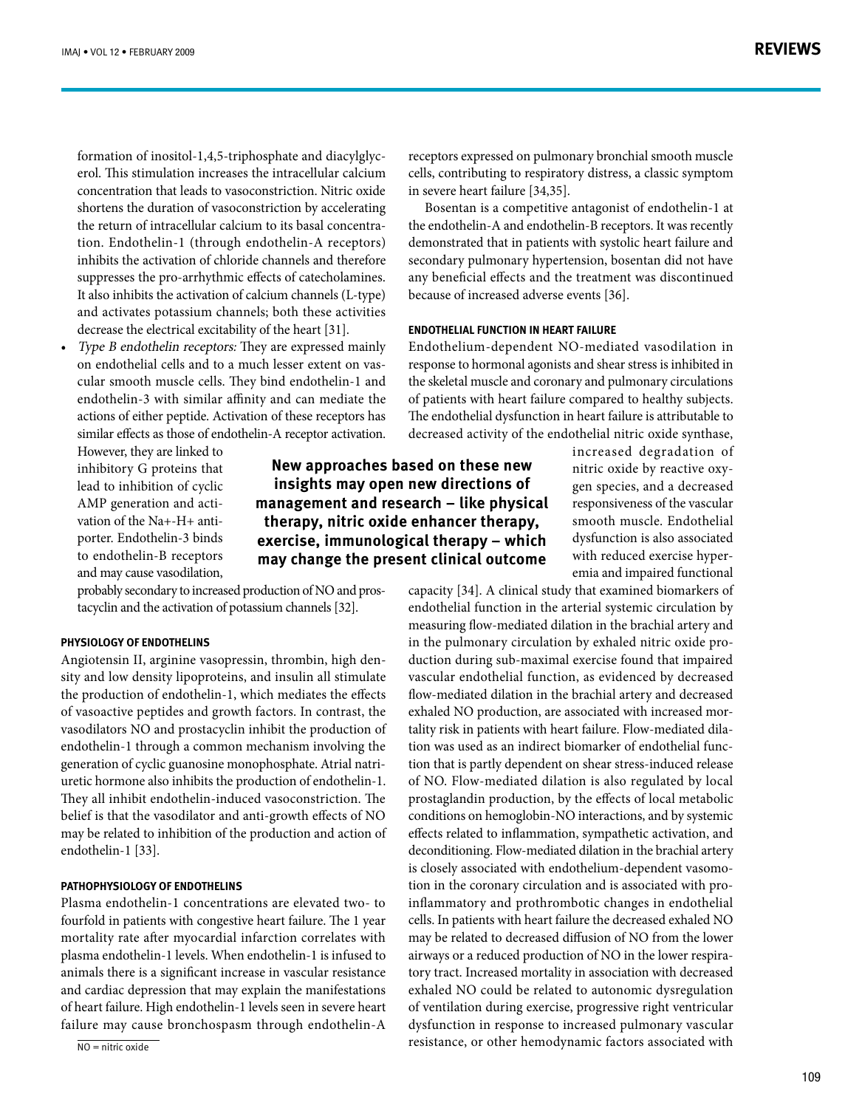erol. This stimulation increases the intracellular calcium formation of inositol-1,4,5-triphosphate and diacylglycconcentration that leads to vasoconstriction. Nitric oxide shortens the duration of vasoconstriction by accelerating tion. Endothelin-1 (through endothelin-A receptors) the return of intracellular calcium to its basal concentrainhibits the activation of chloride channels and therefore suppresses the pro-arrhythmic effects of catecholamines. It also inhibits the activation of calcium channels (L-type) and activates potassium channels; both these activities decrease the electrical excitability of the heart [31].

Type B endothelin receptors: They are expressed mainly cular smooth muscle cells. They bind endothelin-1 and on endothelial cells and to a much lesser extent on vasendothelin-3 with similar affinity and can mediate the actions of either peptide. Activation of these receptors has similar effects as those of endothelin-A receptor activation.

However, they are linked to inhibitory G proteins that lead to inhibition of cyclic porter. Endothelin-3 binds vation of the  $Na + -H +$  anti-AMP generation and actito endothelin-B receptors and may cause vasodilation,

**New approaches based on these new** insights may open new directions of management and research – like physical therapy, nitric oxide enhancer therapy, **exercise, immunological therapy - which** may change the present clinical outcome

tacyclin and the activation of potassium channels [32]. probably secondary to increased production of NO and pros-

#### **PHYSIOLOGY OF ENDOTHELINS**

sity and low density lipoproteins, and insulin all stimulate Angiotensin II, arginine vasopressin, thrombin, high denthe production of endothelin-1, which mediates the effects of vasoactive peptides and growth factors. In contrast, the vasodilators NO and prostacyclin inhibit the production of endothelin-1 through a common mechanism involving the uretic hormone also inhibits the production of endothelin-1. generation of cyclic guanosine monophosphate. Atrial natri-They all inhibit endothelin-induced vasoconstriction. The belief is that the vasodilator and anti-growth effects of NO may be related to inhibition of the production and action of endothelin-1 [33].

## **PATHOPHYSIOLOGY OF ENDOTHELINS**

Plasma endothelin-1 concentrations are elevated two- to fourfold in patients with congestive heart failure. The 1 year mortality rate after myocardial infarction correlates with plasma endothelin-1 levels. When endothelin-1 is infused to animals there is a significant increase in vascular resistance and cardiac depression that may explain the manifestations of heart failure. High endothelin-1 levels seen in severe heart failure may cause bronchospasm through endothelin-A

 $\overline{NO}$  = nitric oxide

cells, contributing to respiratory distress, a classic symptom in severe heart failure [34,35]. Bosentan is a competitive antagonist of endothelin-1 at

receptors expressed on pulmonary bronchial smooth muscle

the endothelin-A and endothelin-B receptors. It was recently demonstrated that in patients with systolic heart failure and secondary pulmonary hypertension, bosentan did not have any beneficial effects and the treatment was discontinued because of increased adverse events [36].

## **ENDOTHELIAL FUNCTION IN HEART FAILURE**

Endothelium-dependent-NO-mediated-vasodilation in response to hormonal agonists and shear stress is inhibited in the skeletal muscle and coronary and pulmonary circulations of patients with heart failure compared to healthy subjects. The endothelial dysfunction in heart failure is attributable to decreased activity of the endothelial nitric oxide synthase,

> increased degradation of gen species, and a decreased nitric oxide by reactive oxyresponsiveness of the vascular smooth muscle. Endothelial dysfunction is also associated emia and impaired functional with reduced exercise hyper-

capacity [34]. A clinical study that examined biomarkers of endothelial function in the arterial systemic circulation by measuring flow-mediated dilation in the brachial artery and duction during sub-maximal exercise found that impaired in the pulmonary circulation by exhaled nitric oxide provascular endothelial function, as evidenced by decreased flow-mediated dilation in the brachial artery and decreased tion that is partly dependent on shear stress-induced release tion was used as an indirect biomarker of endothelial functality risk in patients with heart failure. Flow-mediated dilaexhaled NO production, are associated with increased morof NO. Flow-mediated dilation is also regulated by local prostaglandin production, by the effects of local metabolic conditions on hemoglobin-NO interactions, and by systemic effects related to inflammation, sympathetic activation, and deconditioning. Flow-mediated dilation in the brachial artery inflammatory and prothrombotic changes in endothelial tion in the coronary circulation and is associated with prois closely associated with endothelium-dependent vasomocells. In patients with heart failure the decreased exhaled NO may be related to decreased diffusion of NO from the lower tory tract. Increased mortality in association with decreased airways or a reduced production of NO in the lower respiraexhaled NO could be related to autonomic dysregulation of ventilation during exercise, progressive right ventricular dysfunction in response to increased pulmonary vascular resistance, or other hemodynamic factors associated with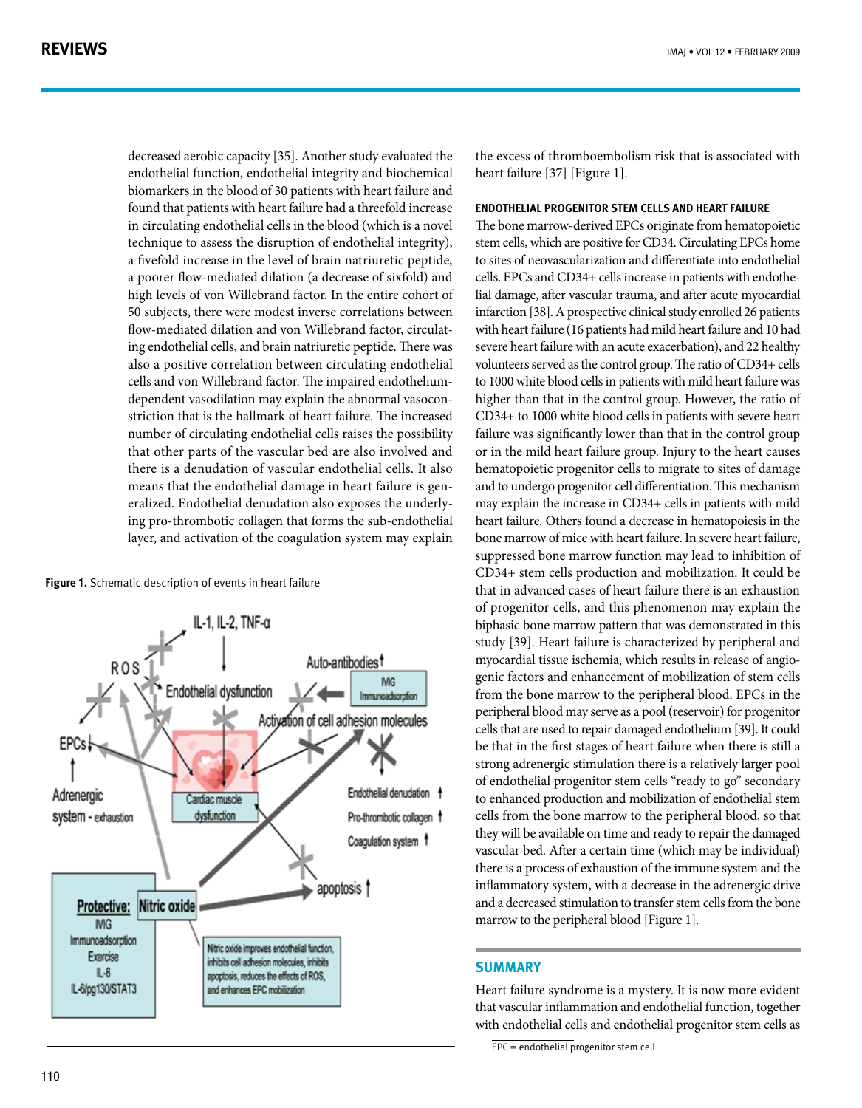decreased aerobic capacity [35]. Another study evaluated the endothelial function, endothelial integrity and biochemical biomarkers in the blood of 30 patients with heart failure and found that patients with heart failure had a threefold increase in circulating endothelial cells in the blood (which is a novel technique to assess the disruption of endothelial integrity), a fivefold increase in the level of brain natriuretic peptide, a poorer flow-mediated dilation (a decrease of sixfold) and high levels of von Willebrand factor. In the entire cohort of 50 subjects, there were modest inverse correlations between ing endothelial cells, and brain natriuretic peptide. There was flow-mediated dilation and von Willebrand factor, circulatalso a positive correlation between circulating endothelial striction that is the hallmark of heart failure. The increased dependent vasodilation may explain the abnormal vasoconcells and von Willebrand factor. The impaired endotheliumnumber of circulating endothelial cells raises the possibility that other parts of the vascular bed are also involved and there is a denudation of vascular endothelial cells. It also ing pro-thrombotic collagen that forms the sub-endothelial eralized. Endothelial denudation also exposes the underlymeans that the endothelial damage in heart failure is genlayer, and activation of the coagulation system may explain

**Figure 1.** Schematic description of events in heart failure



the excess of thromboembolism risk that is associated with heart failure [37] [Figure 1].

#### **ENDOTHELIAL PROGENITOR STEM CELLS AND HEART FAILURE**

The bone marrow-derived EPCs originate from hematopoietic stem cells, which are positive for CD34. Circulating EPCs home to sites of neovascularization and differentiate into endothelial lial damage, after vascular trauma, and after acute myocardial cells. EPCs and  $CD34+$  cells increase in patients with endotheinfarction [38]. A prospective clinical study enrolled 26 patients with heart failure (16 patients had mild heart failure and 10 had severe heart failure with an acute exacerbation), and 22 healthy volunteers served as the control group. The ratio of CD34+ cells to 1000 white blood cells in patients with mild heart failure was higher than that in the control group. However, the ratio of  $CD34+$  to 1000 white blood cells in patients with severe heart failure was significantly lower than that in the control group or in the mild heart failure group. Injury to the heart causes hematopoietic progenitor cells to migrate to sites of damage and to undergo progenitor cell differentiation. This mechanism may explain the increase in CD34+ cells in patients with mild heart failure. Others found a decrease in hematopoiesis in the bone marrow of mice with heart failure. In severe heart failure, suppressed bone marrow function may lead to inhibition of CD34+ stem cells production and mobilization. It could be that in advanced cases of heart failure there is an exhaustion of progenitor cells, and this phenomenon may explain the biphasic bone marrow pattern that was demonstrated in this study [39]. Heart failure is characterized by peripheral and genic factors and enhancement of mobilization of stem cells myocardial tissue ischemia, which results in release of angiofrom the bone marrow to the peripheral blood. EPCs in the peripheral blood may serve as a pool (reservoir) for progenitor cells that are used to repair damaged endothelium [39]. It could be that in the first stages of heart failure when there is still a strong adrenergic stimulation there is a relatively larger pool of endothelial progenitor stem cells "ready to go" secondary to enhanced production and mobilization of endothelial stem cells from the bone marrow to the peripheral blood, so that they will be available on time and ready to repair the damaged vascular bed. After a certain time (which may be individual) there is a process of exhaustion of the immune system and the inflammatory system, with a decrease in the adrenergic drive and a decreased stimulation to transfer stem cells from the bone marrow to the peripheral blood [Figure 1].

# **Summary**

Heart failure syndrome is a mystery. It is now more evident that vascular inflammation and endothelial function, together with endothelial cells and endothelial progenitor stem cells as

 $EPC =$  endothelial progenitor stem cell